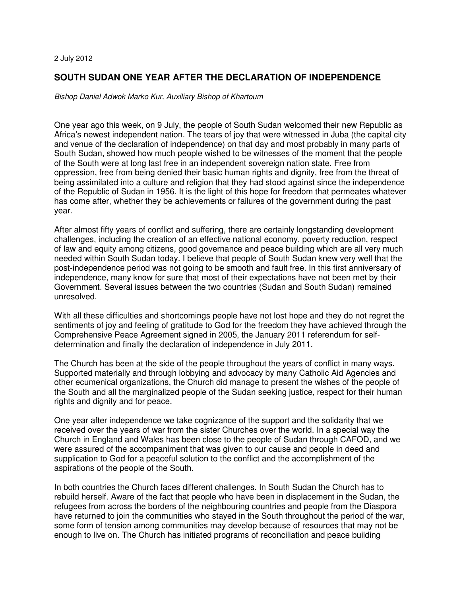## 2 July 2012

## **SOUTH SUDAN ONE YEAR AFTER THE DECLARATION OF INDEPENDENCE**

Bishop Daniel Adwok Marko Kur, Auxiliary Bishop of Khartoum

One year ago this week, on 9 July, the people of South Sudan welcomed their new Republic as Africa's newest independent nation. The tears of joy that were witnessed in Juba (the capital city and venue of the declaration of independence) on that day and most probably in many parts of South Sudan, showed how much people wished to be witnesses of the moment that the people of the South were at long last free in an independent sovereign nation state. Free from oppression, free from being denied their basic human rights and dignity, free from the threat of being assimilated into a culture and religion that they had stood against since the independence of the Republic of Sudan in 1956. It is the light of this hope for freedom that permeates whatever has come after, whether they be achievements or failures of the government during the past year.

After almost fifty years of conflict and suffering, there are certainly longstanding development challenges, including the creation of an effective national economy, poverty reduction, respect of law and equity among citizens, good governance and peace building which are all very much needed within South Sudan today. I believe that people of South Sudan knew very well that the post-independence period was not going to be smooth and fault free. In this first anniversary of independence, many know for sure that most of their expectations have not been met by their Government. Several issues between the two countries (Sudan and South Sudan) remained unresolved.

With all these difficulties and shortcomings people have not lost hope and they do not regret the sentiments of joy and feeling of gratitude to God for the freedom they have achieved through the Comprehensive Peace Agreement signed in 2005, the January 2011 referendum for selfdetermination and finally the declaration of independence in July 2011.

The Church has been at the side of the people throughout the years of conflict in many ways. Supported materially and through lobbying and advocacy by many Catholic Aid Agencies and other ecumenical organizations, the Church did manage to present the wishes of the people of the South and all the marginalized people of the Sudan seeking justice, respect for their human rights and dignity and for peace.

One year after independence we take cognizance of the support and the solidarity that we received over the years of war from the sister Churches over the world. In a special way the Church in England and Wales has been close to the people of Sudan through CAFOD, and we were assured of the accompaniment that was given to our cause and people in deed and supplication to God for a peaceful solution to the conflict and the accomplishment of the aspirations of the people of the South.

In both countries the Church faces different challenges. In South Sudan the Church has to rebuild herself. Aware of the fact that people who have been in displacement in the Sudan, the refugees from across the borders of the neighbouring countries and people from the Diaspora have returned to join the communities who stayed in the South throughout the period of the war, some form of tension among communities may develop because of resources that may not be enough to live on. The Church has initiated programs of reconciliation and peace building